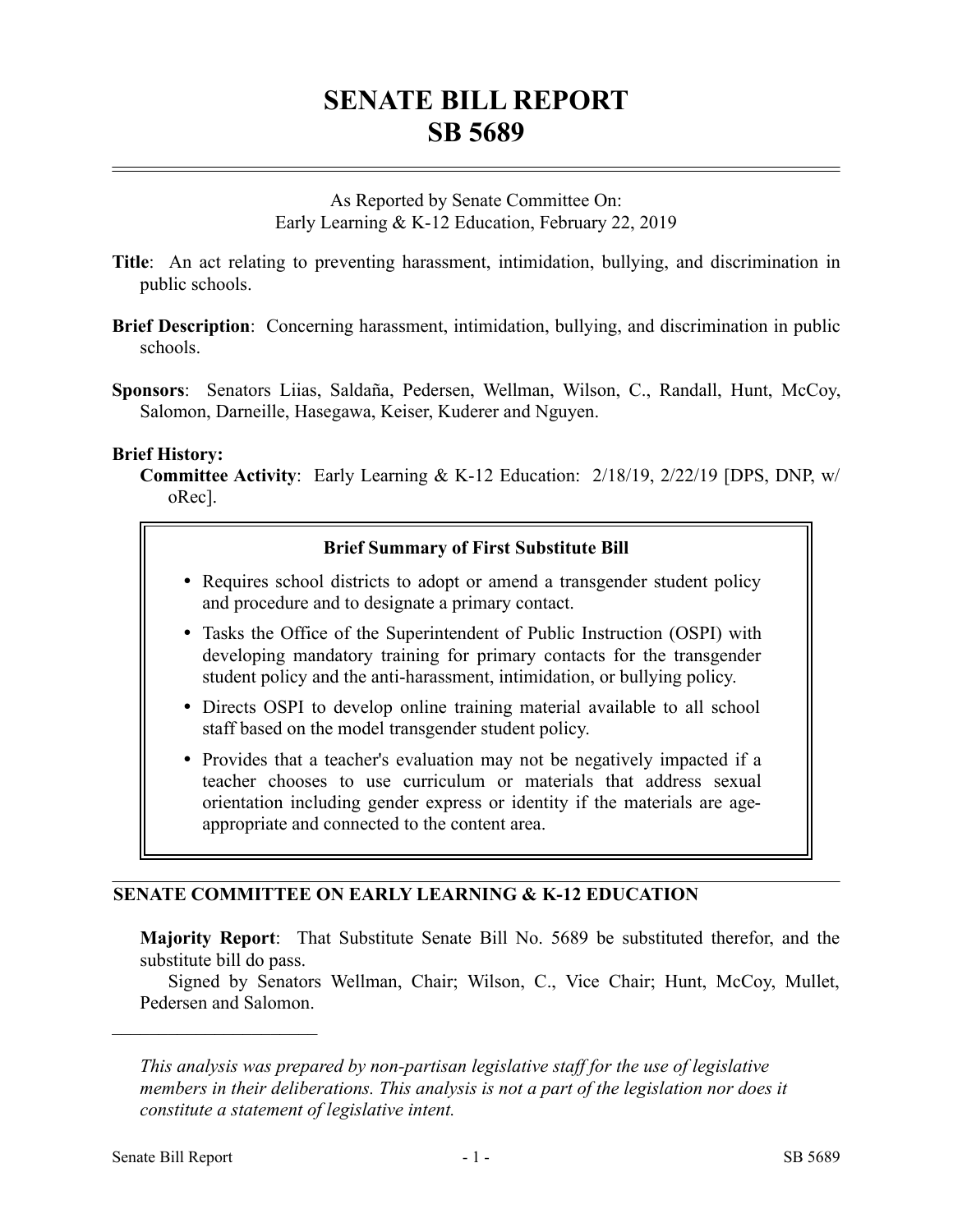# **SENATE BILL REPORT SB 5689**

As Reported by Senate Committee On: Early Learning & K-12 Education, February 22, 2019

- **Title**: An act relating to preventing harassment, intimidation, bullying, and discrimination in public schools.
- **Brief Description**: Concerning harassment, intimidation, bullying, and discrimination in public schools.
- **Sponsors**: Senators Liias, Saldaña, Pedersen, Wellman, Wilson, C., Randall, Hunt, McCoy, Salomon, Darneille, Hasegawa, Keiser, Kuderer and Nguyen.

#### **Brief History:**

**Committee Activity**: Early Learning & K-12 Education: 2/18/19, 2/22/19 [DPS, DNP, w/ oRec].

## **Brief Summary of First Substitute Bill**

- Requires school districts to adopt or amend a transgender student policy and procedure and to designate a primary contact.
- Tasks the Office of the Superintendent of Public Instruction (OSPI) with developing mandatory training for primary contacts for the transgender student policy and the anti-harassment, intimidation, or bullying policy.
- Directs OSPI to develop online training material available to all school staff based on the model transgender student policy.
- Provides that a teacher's evaluation may not be negatively impacted if a teacher chooses to use curriculum or materials that address sexual orientation including gender express or identity if the materials are ageappropriate and connected to the content area.

## **SENATE COMMITTEE ON EARLY LEARNING & K-12 EDUCATION**

**Majority Report**: That Substitute Senate Bill No. 5689 be substituted therefor, and the substitute bill do pass.

Signed by Senators Wellman, Chair; Wilson, C., Vice Chair; Hunt, McCoy, Mullet, Pedersen and Salomon.

––––––––––––––––––––––

*This analysis was prepared by non-partisan legislative staff for the use of legislative members in their deliberations. This analysis is not a part of the legislation nor does it constitute a statement of legislative intent.*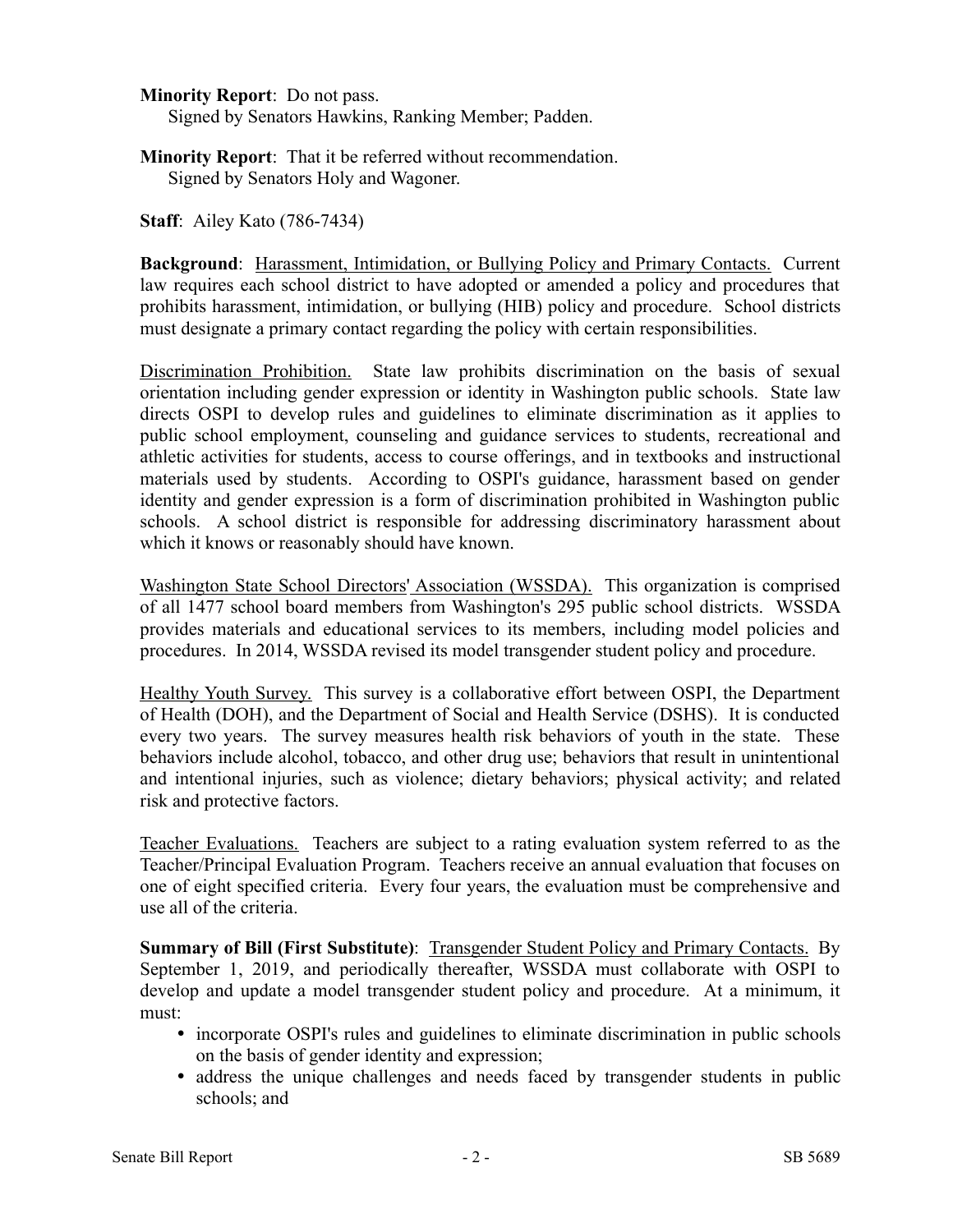**Minority Report**: Do not pass.

Signed by Senators Hawkins, Ranking Member; Padden.

**Minority Report**: That it be referred without recommendation. Signed by Senators Holy and Wagoner.

**Staff**: Ailey Kato (786-7434)

**Background**: Harassment, Intimidation, or Bullying Policy and Primary Contacts. Current law requires each school district to have adopted or amended a policy and procedures that prohibits harassment, intimidation, or bullying (HIB) policy and procedure. School districts must designate a primary contact regarding the policy with certain responsibilities.

Discrimination Prohibition. State law prohibits discrimination on the basis of sexual orientation including gender expression or identity in Washington public schools. State law directs OSPI to develop rules and guidelines to eliminate discrimination as it applies to public school employment, counseling and guidance services to students, recreational and athletic activities for students, access to course offerings, and in textbooks and instructional materials used by students. According to OSPI's guidance, harassment based on gender identity and gender expression is a form of discrimination prohibited in Washington public schools. A school district is responsible for addressing discriminatory harassment about which it knows or reasonably should have known.

Washington State School Directors' Association (WSSDA). This organization is comprised of all 1477 school board members from Washington's 295 public school districts. WSSDA provides materials and educational services to its members, including model policies and procedures. In 2014, WSSDA revised its model transgender student policy and procedure.

Healthy Youth Survey. This survey is a collaborative effort between OSPI, the Department of Health (DOH), and the Department of Social and Health Service (DSHS). It is conducted every two years. The survey measures health risk behaviors of youth in the state. These behaviors include alcohol, tobacco, and other drug use; behaviors that result in unintentional and intentional injuries, such as violence; dietary behaviors; physical activity; and related risk and protective factors.

Teacher Evaluations. Teachers are subject to a rating evaluation system referred to as the Teacher/Principal Evaluation Program. Teachers receive an annual evaluation that focuses on one of eight specified criteria. Every four years, the evaluation must be comprehensive and use all of the criteria.

**Summary of Bill (First Substitute):** Transgender Student Policy and Primary Contacts. By September 1, 2019, and periodically thereafter, WSSDA must collaborate with OSPI to develop and update a model transgender student policy and procedure. At a minimum, it must:

- incorporate OSPI's rules and guidelines to eliminate discrimination in public schools on the basis of gender identity and expression;
- address the unique challenges and needs faced by transgender students in public schools; and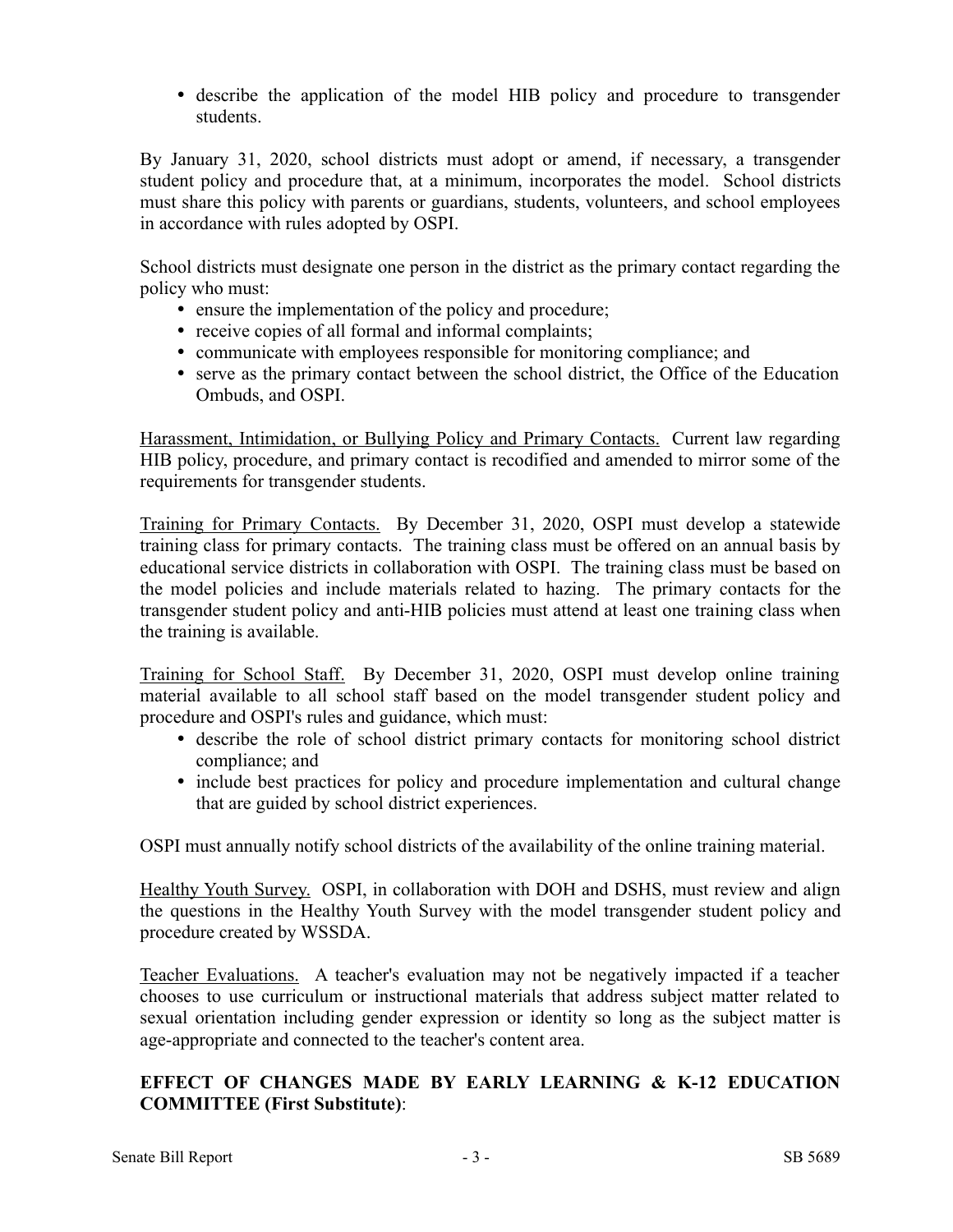describe the application of the model HIB policy and procedure to transgender students.

By January 31, 2020, school districts must adopt or amend, if necessary, a transgender student policy and procedure that, at a minimum, incorporates the model. School districts must share this policy with parents or guardians, students, volunteers, and school employees in accordance with rules adopted by OSPI.

School districts must designate one person in the district as the primary contact regarding the policy who must:

- ensure the implementation of the policy and procedure;
- receive copies of all formal and informal complaints;
- communicate with employees responsible for monitoring compliance; and
- serve as the primary contact between the school district, the Office of the Education Ombuds, and OSPI.

Harassment, Intimidation, or Bullying Policy and Primary Contacts. Current law regarding HIB policy, procedure, and primary contact is recodified and amended to mirror some of the requirements for transgender students.

Training for Primary Contacts. By December 31, 2020, OSPI must develop a statewide training class for primary contacts. The training class must be offered on an annual basis by educational service districts in collaboration with OSPI. The training class must be based on the model policies and include materials related to hazing. The primary contacts for the transgender student policy and anti-HIB policies must attend at least one training class when the training is available.

Training for School Staff. By December 31, 2020, OSPI must develop online training material available to all school staff based on the model transgender student policy and procedure and OSPI's rules and guidance, which must:

- describe the role of school district primary contacts for monitoring school district compliance; and
- include best practices for policy and procedure implementation and cultural change that are guided by school district experiences.

OSPI must annually notify school districts of the availability of the online training material.

Healthy Youth Survey. OSPI, in collaboration with DOH and DSHS, must review and align the questions in the Healthy Youth Survey with the model transgender student policy and procedure created by WSSDA.

Teacher Evaluations. A teacher's evaluation may not be negatively impacted if a teacher chooses to use curriculum or instructional materials that address subject matter related to sexual orientation including gender expression or identity so long as the subject matter is age-appropriate and connected to the teacher's content area.

## **EFFECT OF CHANGES MADE BY EARLY LEARNING & K-12 EDUCATION COMMITTEE (First Substitute)**: